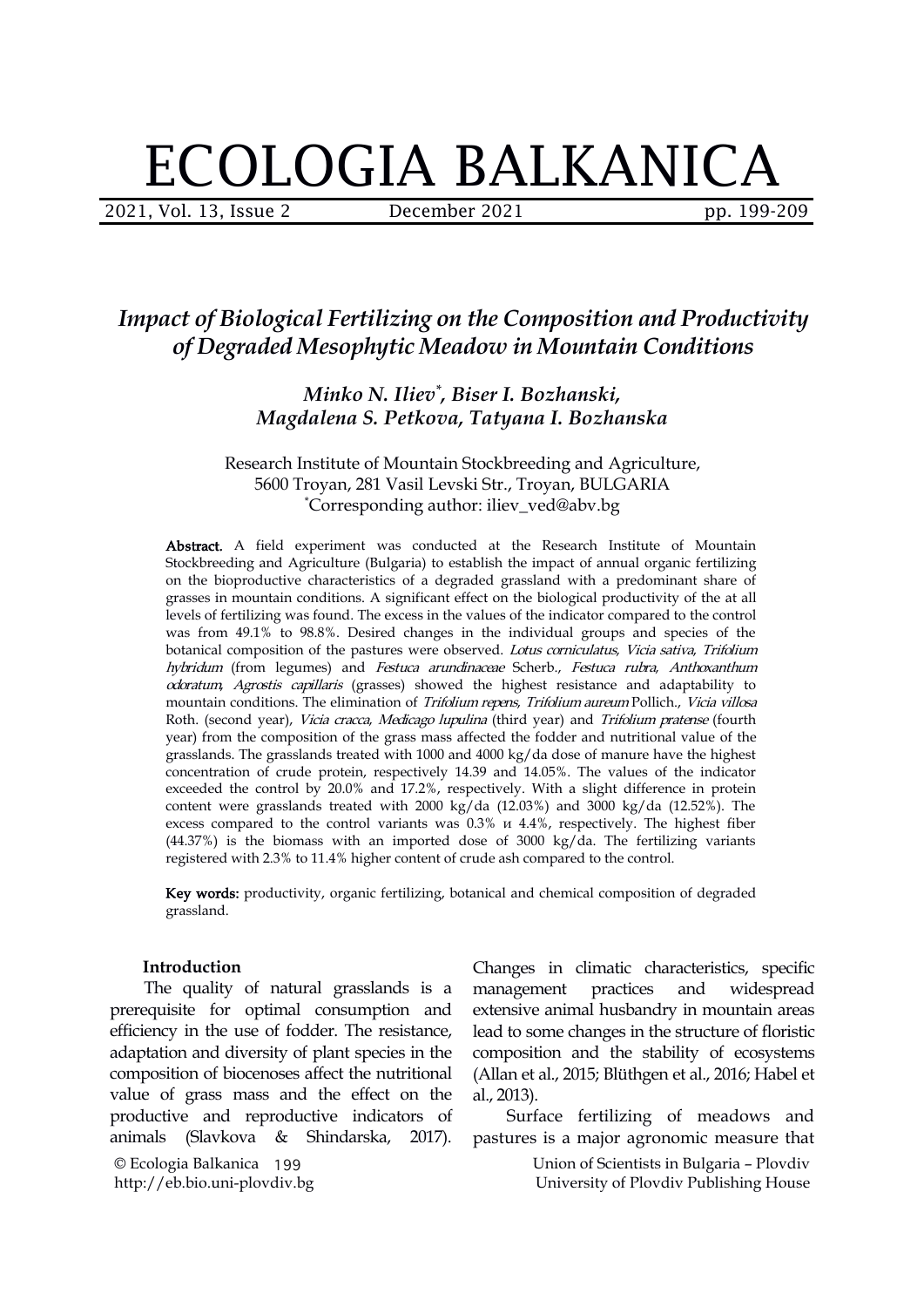# ECOLOGIA BALKANICA

2021, Vol. 13, Issue 2 **December 2021** pp. 199-209

# *Impact ofBiological Fertilizing on the Composition and Productivity of Degraded Mesophytic Meadow in Mountain Conditions*

*Minko N. Iliev \* , Biser I. Bozhanski, Magdalena S. Petkova, Tatyana I. Bozhanska*

Research Institute of Mountain Stockbreeding and Agriculture, 5600 Troyan, 281 Vasil Levski Str., Troyan, BULGARIA \*Corresponding author: [iliev\\_ved@abv.bg](mailto:iliev_ved@abv.bg)

Abstract. A field experiment was conducted at the Research Institute of Mountain Stockbreeding and Agriculture (Bulgaria) to establish the impact of annual organic fertilizing on the bioproductive characteristics of a degraded grassland with a predominant share of grasses in mountain conditions. A significant effect on the biological productivity of the at all levels of fertilizing was found. The excess in the values of the indicator compared to the control was from 49.1% to 98.8%. Desired changes in the individual groups and species of the botanical composition of the pastures were observed. Lotus corniculatus, Vicia sativa, Trifolium hybridum (from legumes) and Festuca arundinaceae Scherb., Festuca rubra, Anthoxanthum odoratum, Agrostis capillaris (grasses) showed the highest resistance and adaptability to mountain conditions. The elimination of Trifolium repens, Trifolium aureum Pollich., Vicia villosa Roth. (second year), Vicia cracca, Medicago lupulina (third year) and Trifolium pratense (fourth year) from the composition of the grass mass affected the fodder and nutritional value of the grasslands. The grasslands treated with 1000 and 4000 kg/da dose of manure have the highest concentration of crude protein, respectively 14.39 and 14.05%. The values of the indicator exceeded the control by 20.0% and 17.2%, respectively. With a slight difference in protein content were grasslands treated with 2000 kg/da (12.03%) and 3000 kg/da (12.52%). The excess compared to the control variants was 0.3% и 4.4%, respectively. The highest fiber  $(44.37%)$  is the biomass with an imported dose of 3000 kg/da. The fertilizing variants registered with 2.3% to 11.4% higher content of crude ash compared to the control.

Key words: productivity, organic fertilizing, botanical and chemical composition of degraded grassland.

#### **Introduction**

The quality of natural grasslands is a management practices prerequisite for optimal consumption and efficiency in the use of fodder. The resistance, adaptation and diversity of plant species in the composition of biocenoses affect the nutritional value of grass mass and the effect on the productive and reproductive indicators of animals (Slavkova & Shindarska, 2017).

© Ecologia Balkanica 199 http://eb.bio.uni-plovdiv.bg

Changes in climatic characteristics, specific management practices and widespread extensive animal husbandry in mountain areas lead to some changes in the structure of floristic composition and the stability of ecosystems (Allan et al.,2015; Blüthgen et al.,2016; Habel et al., 2013).

Surface fertilizing of meadows and pastures is a major agronomic measure that

> Union of Scientists in Bulgaria – Plovdiv University of Plovdiv Publishing House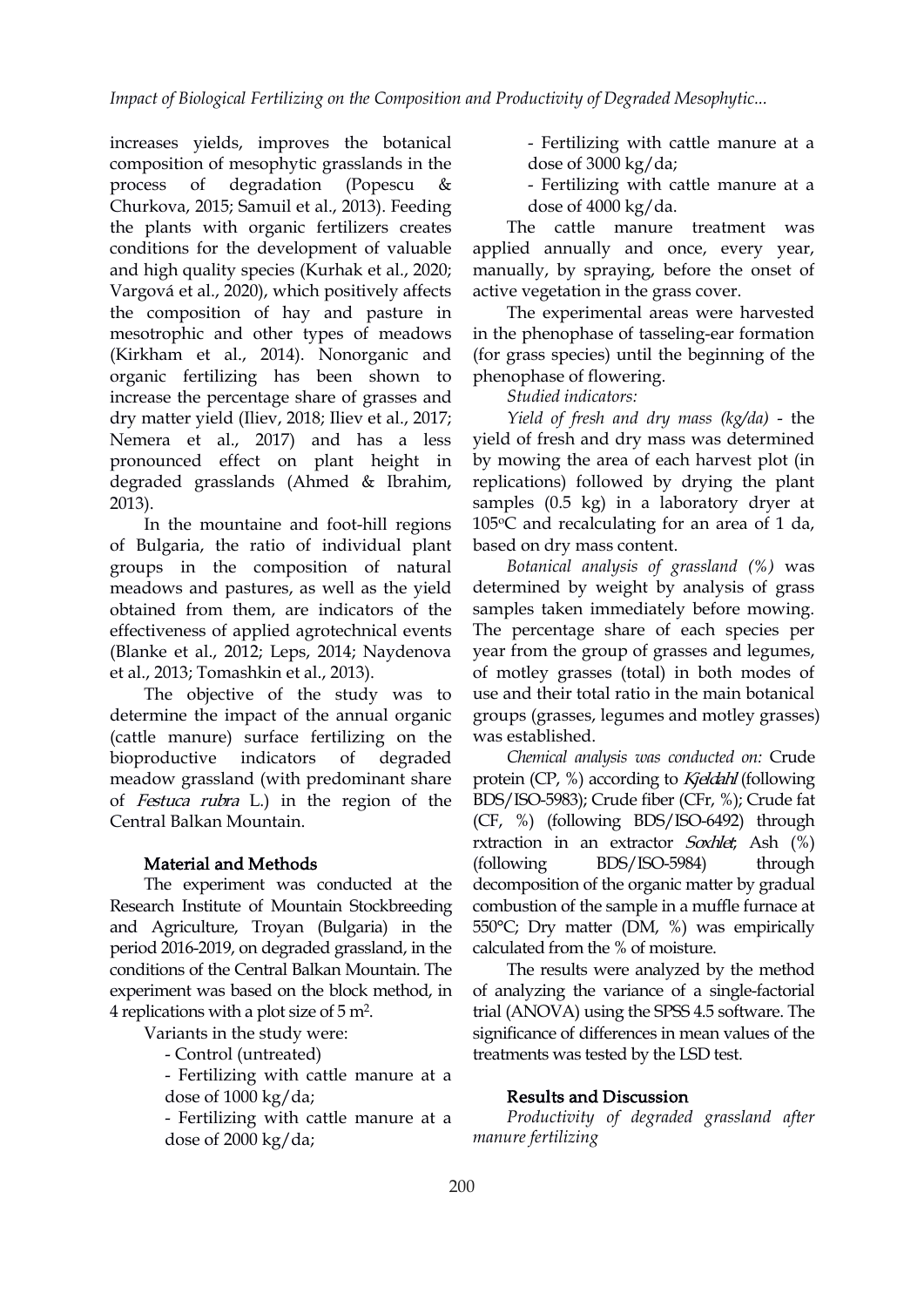increases yields, improves the botanical composition of mesophytic grasslands in the process of degradation (Popescu & - Fertilizing with cattle manure at a Churkova, 2015; Samuil et al., 2013). Feeding the plants with organic fertilizers creates conditions for the development of valuable and high quality species (Kurhak et al., 2020; Vargová et al., 2020), which positively affects the composition of hay and pasture in mesotrophic and other types of meadows (Kirkham et al., 2014). Nonorganic and organic fertilizing has been shown to increase the percentage share of grasses and dry matter yield (Iliev, 2018; Iliev et al., 2017; Nemera et al., 2017) and has a less pronounced effect on plant height in degraded grasslands (Ahmed & Ibrahim, 2013).<br>In the mountaine and foot-hill regions

of Bulgaria, the ratio of individual plant groups in the composition of natural meadows and pastures, as well as the yield obtained from them, are indicators of the effectiveness of applied agrotechnical events (Blanke et al., 2012; Leps, 2014; Naydenova et al., 2013; Tomashkin et al., 2013).

The objective of the study was to determine the impact of the annual organic (cattle manure) surface fertilizing on the meadow grassland (with predominant share of Festuca rubra L.) in the region of the Central Balkan Mountain.

#### Material and Methods

The experiment was conducted at the Research Institute of Mountain Stockbreeding and Agriculture, Troyan (Bulgaria) in the period 2016-2019, on degraded grassland, in the conditions of the Central Balkan Mountain. The experiment was based on the block method, in 4 replications with a plot size of  $5 \text{ m}^2$ . .

Variants in the study were:

- Control (untreated)

- Fertilizing with cattle manure at a dose of 1000 kg/da;

- Fertilizing with cattle manure at a dose of 2000 kg/da;

- Fertilizing with cattle manure at a dose of 3000 kg/da;

dose of 4000 kg/da.

The cattle manure treatment was applied annually and once, every year, manually, by spraying, before the onset of active vegetation in the grass cover.

The experimental areas were harvested in the phenophase of tasseling-ear formation (for grass species) until the beginning of the phenophase of flowering.

*Studied indicators:*

*Yield of fresh and dry mass (kg/da)* - the yield of fresh and dry mass was determined by mowing the area of each harvest plot (in replications) followed by drying the plant samples (0.5 kg) in a laboratory dryer at  $105^{\circ}$ C and recalculating for an area of 1 da, based on dry mass content.

*Botanical analysis of grassland (%)* was determined by weight by analysis of grass samples taken immediately before mowing. The percentage share of each species per year from the group of grasses and legumes, of motley grasses (total) in both modes of use and their total ratio in the main botanical groups (grasses, legumes and motley grasses) was established.

bioproductive indicators of degraded *Chemical analysis was conducted on:* Crude protein (CP, %) according to Kjeldahl (following BDS/ISO-5983); Crude fiber (CFr, %); Crude fat (CF, %) (following BDS/ISO-6492) through rxtraction in an extractor Soxhlet; Ash (%) (following BDS/ISO-5984) through decomposition of the organic matter by gradual combustion of the sample in a muffle furnace at 550°С; Dry matter (DM, %) was empirically calculated from the % of moisture.

> The results were analyzed by the method of analyzing the variance of a single-factorial trial (ANOVA) using the SPSS 4.5 software. The significance of differences in mean values of the treatments was tested by the LSD test.

#### Results and Discussion

*Productivity of degraded grassland after manure fertilizing*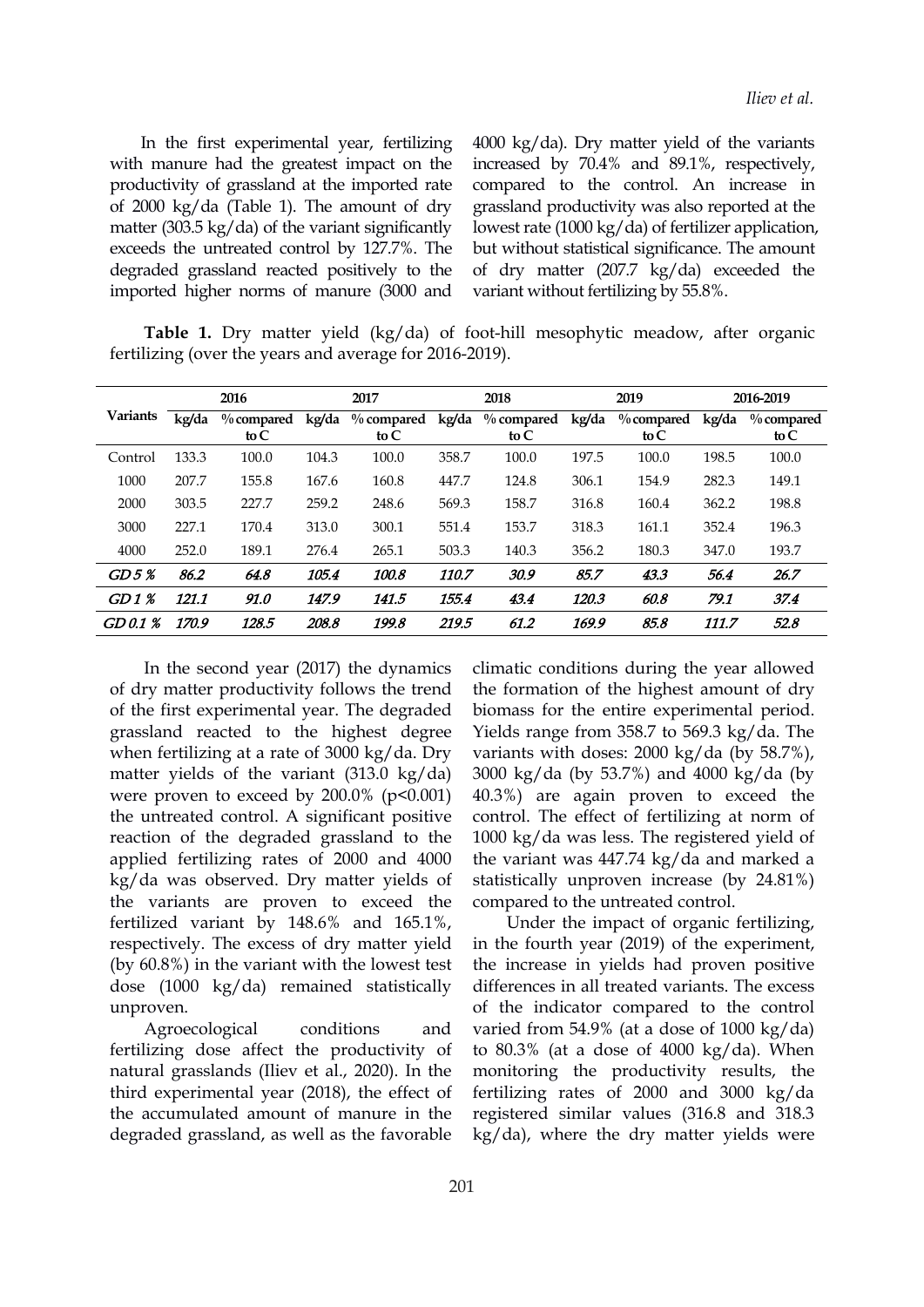In the first experimental year, fertilizing with manure had the greatest impact on the productivity of grassland at the imported rate of 2000 kg/da (Table 1). The amount of dry matter (303.5 kg/da) of the variant significantly exceeds the untreated control by 127.7%. The degraded grassland reacted positively to the imported higher norms of manure (3000 and 4000 kg/da). Dry matter yield of the variants increased by 70.4% and 89.1%, respectively, compared to the control. An increase in grassland productivity was also reported at the lowest rate (1000 kg/da) of fertilizer application, but without statistical significance. The amount of dry matter (207.7 kg/da) exceeded the variant without fertilizing by 55.8%.

**Table 1.** Dry matter yield (kg/da) of foot-hill mesophytic meadow, after organic fertilizing (over the years and average for 2016-2019).

|                 |       | 2016                    |       | 2017   |       | 2018                                              |       | 2019                    |       | 2016-2019             |  |
|-----------------|-------|-------------------------|-------|--------|-------|---------------------------------------------------|-------|-------------------------|-------|-----------------------|--|
| <b>Variants</b> | kg/da | $\%$ compared<br>to $C$ | kg/da | to $C$ |       | $\%$ compared kg/da $\%$ compared kg/da<br>to $C$ |       | $\%$ compared<br>to $C$ | kg/da | $\%$ compared<br>to C |  |
| Control         | 133.3 | 100.0                   | 104.3 | 100.0  | 358.7 | 100.0                                             | 197.5 | 100.0                   | 198.5 | 100.0                 |  |
| 1000            | 207.7 | 155.8                   | 167.6 | 160.8  | 447.7 | 124.8                                             | 306.1 | 154.9                   | 282.3 | 149.1                 |  |
| 2000            | 303.5 | 227.7                   | 259.2 | 248.6  | 569.3 | 158.7                                             | 316.8 | 160.4                   | 362.2 | 198.8                 |  |
| 3000            | 227.1 | 170.4                   | 313.0 | 300.1  | 551.4 | 153.7                                             | 318.3 | 161.1                   | 352.4 | 196.3                 |  |
| 4000            | 252.0 | 189.1                   | 276.4 | 265.1  | 503.3 | 140.3                                             | 356.2 | 180.3                   | 347.0 | 193.7                 |  |
| GD5%            | 86.2  | 64.8                    | 105.4 | 100.8  | 110.7 | 30.9                                              | 85.7  | 43.3                    | 56.4  | 26.7                  |  |
| $GD1\%$         | 121.1 | 91.0                    | 147.9 | 141.5  | 155.4 | 43.4                                              | 120.3 | 60.8                    | 79.1  | 37.4                  |  |
| GD 0.1 %        | 170.9 | 128.5                   | 208.8 | 199.8  | 219.5 | 61.2                                              | 169.9 | 85.8                    | 111.7 | 52.8                  |  |

In the second year (2017) the dynamics of dry matter productivity follows the trend of the first experimental year. The degraded grassland reacted to the highest degree when fertilizing at a rate of 3000 kg/da. Dry matter yields of the variant (313.0 kg/da) were proven to exceed by  $200.0\%$  (p<0.001) the untreated control. A significant positive reaction of the degraded grassland to the applied fertilizing rates of 2000 and 4000 kg/da was observed. Dry matter yields of the variants are proven to exceed the fertilized variant by 148.6% and 165.1%, respectively. The excess of dry matter yield (by  $60.8\%$ ) in the variant with the lowest test dose (1000 kg/da) remained statistically unproven.

fertilizing dose affect the productivity of natural grasslands (Iliev et al., 2020). In the third experimental year (2018), the effect of the accumulated amount of manure in the degraded grassland, as well as the favorable climatic conditions during the year allowed the formation of the highest amount of dry biomass for the entire experimental period. Yields range from 358.7 to 569.3 kg/da. The variants with doses: 2000 kg/da (by 58.7%), 3000 kg/da (by 53.7%) and 4000 kg/da (by 40.3%) are again proven to exceed the control. The effect of fertilizing at norm of 1000 kg/da was less. The registered yield of the variant was 447.74 kg/da and marked a statistically unproven increase (by 24.81%) compared to the untreated control.

Agroecological conditions and varied from 54.9% (at a dose of 1000 kg/da) Under the impact of organic fertilizing, in the fourth year (2019) of the experiment, the increase in yields had proven positive differences in all treated variants. The excess of the indicator compared to the control to  $80.3\%$  (at a dose of  $4000 \text{ kg}/\text{da}$ ). When monitoring the productivity results, the fertilizing rates of 2000 and 3000 kg/da registered similar values (316.8 and 318.3  $kg/da$ ), where the dry matter yields were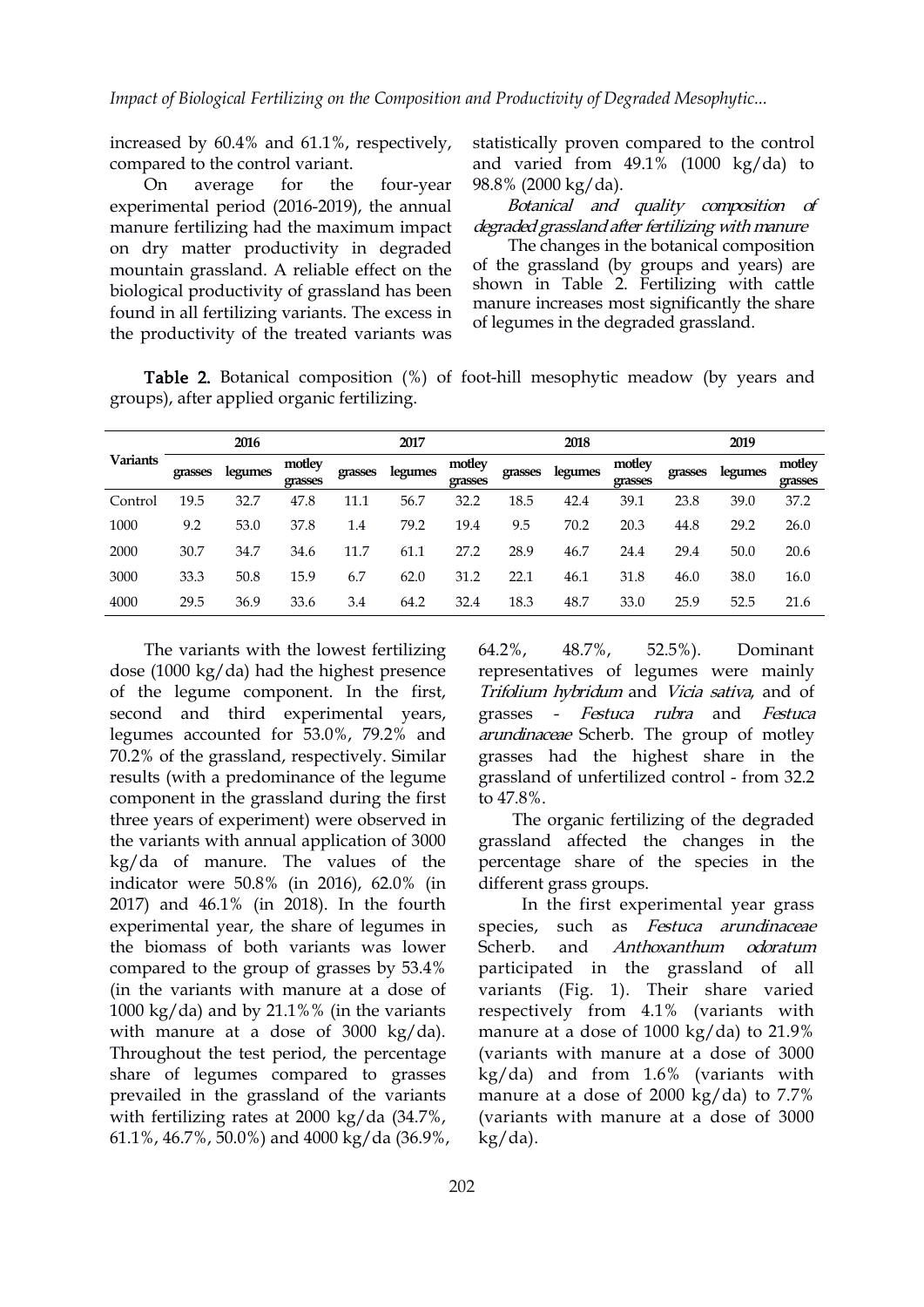increased by 60.4% and 61.1%, respectively, compared to the control variant.

experimental period (2016-2019), the annual manure fertilizing had the maximum impact on dry matter productivity in degraded mountain grassland. A reliable effect on the biological productivity of grassland has been found in all fertilizing variants. The excess in the productivity of the treated variants was

On average for the four-year 98.8% (2000 kg/da). statistically proven compared to the control and varied from  $49.1\%$  (1000 kg/da) to

> Botanical and quality composition of degraded grassland after fertilizing with manure

> The changes in the botanical composition of the grassland (by groups and years) are shown in Table 2. Fertilizing with cattle manure increases most significantly the share of legumes in the degraded grassland.

Table 2. Botanical composition (%) of foot-hill mesophytic meadow (by years and groups), after applied organic fertilizing.

|                 |         | 2016    |                   |         | 2017    |                   |         | 2018    |                   |         | 2019    |                   |
|-----------------|---------|---------|-------------------|---------|---------|-------------------|---------|---------|-------------------|---------|---------|-------------------|
| <b>Variants</b> | grasses | legumes | motley<br>grasses | grasses | legumes | motley<br>grasses | grasses | legumes | motley<br>grasses | grasses | legumes | motley<br>grasses |
| Control         | 19.5    | 32.7    | 47.8              | 11.1    | 56.7    | 32.2              | 18.5    | 42.4    | 39.1              | 23.8    | 39.0    | 37.2              |
| 1000            | 9.2     | 53.0    | 37.8              | 1.4     | 79.2    | 19.4              | 9.5     | 70.2    | 20.3              | 44.8    | 29.2    | 26.0              |
| 2000            | 30.7    | 34.7    | 34.6              | 11.7    | 61.1    | 27.2              | 28.9    | 46.7    | 24.4              | 29.4    | 50.0    | 20.6              |
| 3000            | 33.3    | 50.8    | 15.9              | 6.7     | 62.0    | 31.2              | 22.1    | 46.1    | 31.8              | 46.0    | 38.0    | 16.0              |
| 4000            | 29.5    | 36.9    | 33.6              | 3.4     | 64.2    | 32.4              | 18.3    | 48.7    | 33.0              | 25.9    | 52.5    | 21.6              |

The variants with the lowest fertilizing  $64.2\%$ ,  $48.7\%$ , dose (1000 kg/da) had the highest presence of the legume component. In the first, second and third experimental years, legumes accounted for 53.0%, 79.2% and 70.2% of the grassland, respectively. Similar results (with a predominance of the legume component in the grassland during the first three years of experiment) were observed in the variants with annual application of 3000 kg/da of manure. The values of the indicator were 50.8% (in 2016), 62.0% (in 2017) and 46.1% (in 2018). In the fourth experimental year, the share of legumes in the biomass of both variants was lower compared to the group of grasses by 53.4% (in the variants with manure at a dose of 1000 kg/da) and by 21.1%% (in the variants with manure at a dose of 3000 kg/da). Throughout the test period, the percentage share of legumes compared to grasses prevailed in the grassland of the variants with fertilizing rates at  $2000 \text{ kg}/da$  (34.7%, 61.1%, 46.7%, 50.0%) and 4000 kg/da (36.9%,

64.2%, 48.7%, 52.5%). Dominant representatives of legumes were mainly Trifolium hybridum and Vicia sativa, and of grasses - Festuca rubra and Festuca arundinaceae Scherb. The group of motley grasses had the highest share in the grassland of unfertilized control - from 32.2 to 47.8%.

The organic fertilizing of the degraded grassland affected the changes in the percentage share of the species in the different grass groups.

In the first experimental year grass species, such as Festuca arundinaceae Anthoxanthum odoratum participated in the grassland of all variants (Fig. 1). Their share varied respectively from 4.1% (variants with manure at a dose of 1000 kg/da) to 21.9% (variants with manure at a dose of 3000 kg/da) and from 1.6% (variants with manure at a dose of 2000 kg/da) to 7.7% (variants with manure at a dose of 3000 kg/da).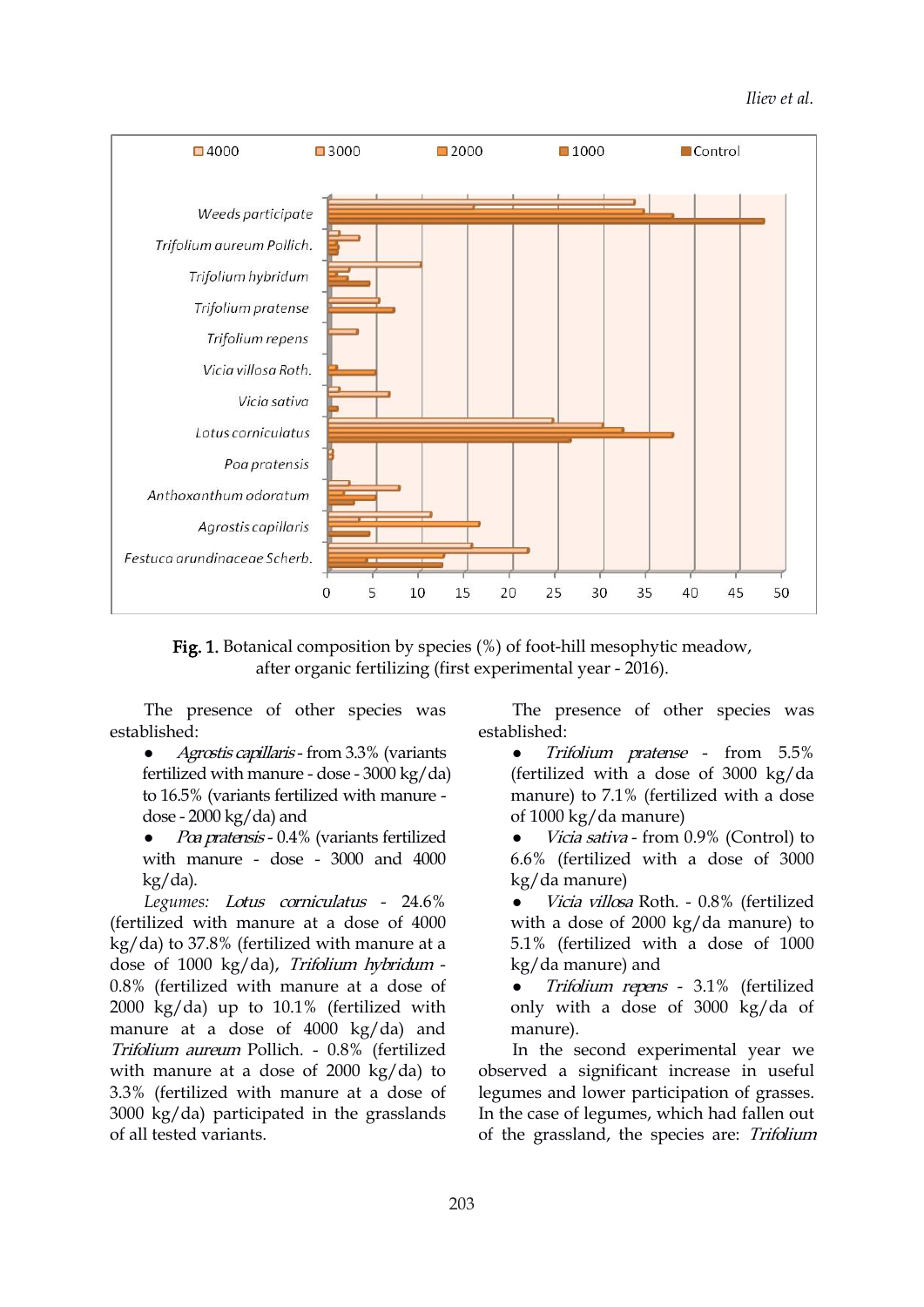

Fig. 1. Botanical composition by species (%) of foot-hill mesophytic meadow, after organic fertilizing (first experimental year - 2016).

The presence of other species was established:

- *Agrostis capillaris* from 3.3% (variants fertilized with manure - dose - 3000 kg/da) to 16.5% (variants fertilized with manure dose -  $2000 \text{ kg}/\text{da}$ ) and
- Poa pratensis 0.4% (variants fertilized with manure - dose - 3000 and 4000 kg/da).

*Legumes:* Lotus corniculatus - 24.6% (fertilized with manure at a dose of 4000 kg/da) to 37.8% (fertilized with manure at a dose of 1000 kg/da), Trifolium hybridum - 0.8% (fertilized with manure at a dose of 2000 kg/da) up to 10.1% (fertilized with manure at a dose of 4000 kg/da) and Trifolium aureum Pollich. - 0.8% (fertilized with manure at a dose of 2000 kg/da) to 3.3% (fertilized with manure at a dose of 3000 kg/da) participated in the grasslands of all tested variants.

The presence of other species was established:

- Trifolium pratense from 5.5% (fertilized with a dose of 3000 kg/da manure) to 7.1% (fertilized with a dose of 1000 kg/da manure)
- Vicia sativa from 0.9% (Control) to 6.6% (fertilized with a dose of 3000 kg/da manure)
- Vicia villosa Roth. 0.8% (fertilized with a dose of 2000 kg/da manure) to 5.1% (fertilized with a dose of 1000 kg/da manure) and

 Trifolium repens - 3.1% (fertilized only with a dose of 3000 kg/da of manure).

In the second experimental year we observed a significant increase in useful legumes and lower participation of grasses. In the case of legumes, which had fallen out of the grassland, the species are: Trifolium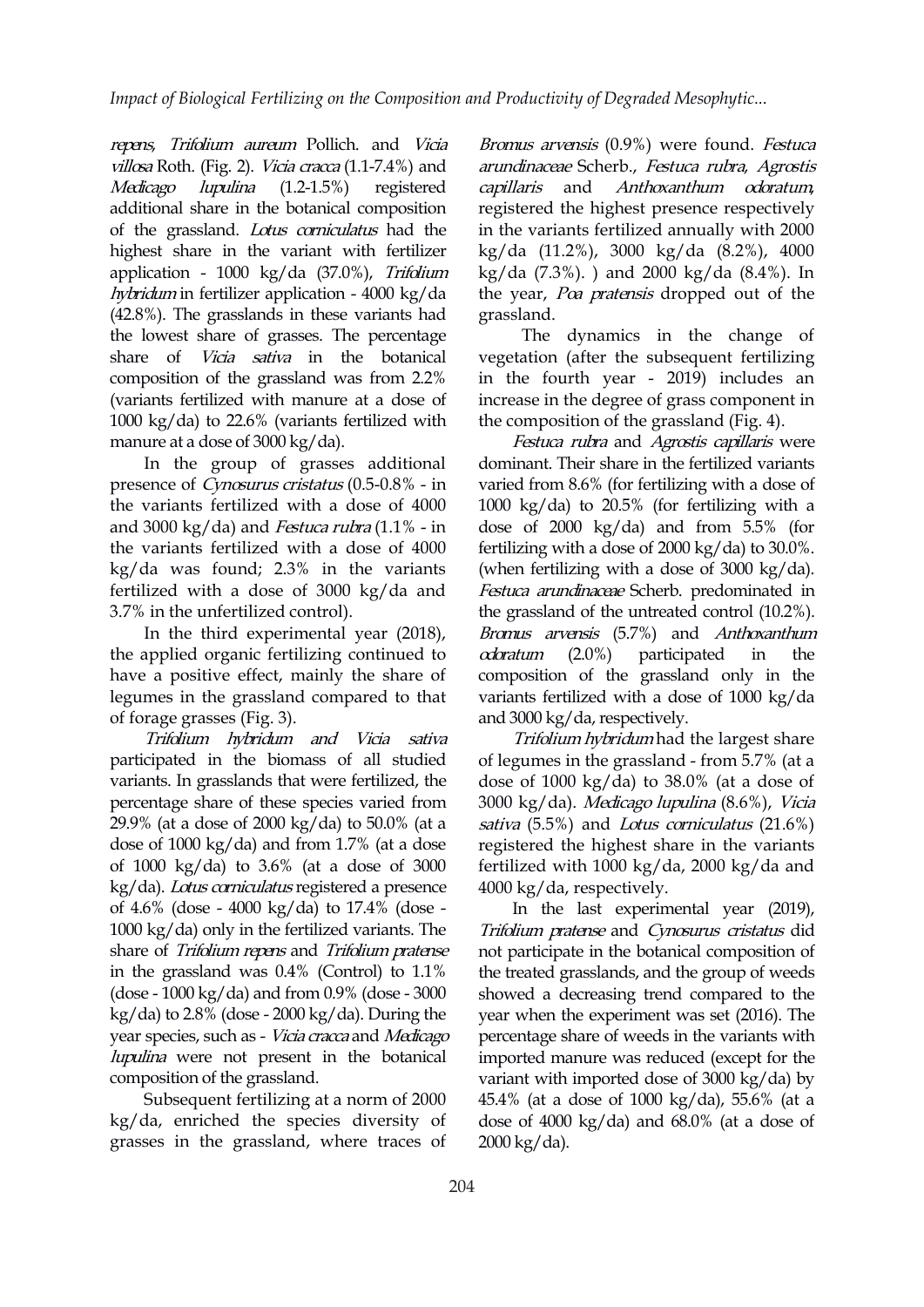repens, Trifolium aureum Pollich. and Vicia villosa Roth. (Fig. 2). Vicia cracca (1.1-7.4%) and Medicago lupulina (1.2-1.5%) registered capillaris and additional share in the botanical composition of the grassland. Lotus corniculatus had the highest share in the variant with fertilizer application - 1000 kg/da (37.0%), Trifolium hybridum in fertilizer application - 4000 kg/da (42.8%). The grasslands in these variants had the lowest share of grasses. The percentage share of *Vicia sativa* in the botanical composition of the grassland was from 2.2% (variants fertilized with manure at a dose of 1000 kg/da) to 22.6% (variants fertilized with manure at a dose of  $3000 \text{ kg/da}$ .

In the group of grasses additional presence of Cynosurus cristatus (0.5-0.8% - in the variants fertilized with a dose of 4000 and 3000 kg/da) and *Festuca rubra*  $(1.1\% - in$ the variants fertilized with a dose of 4000 kg/da was found; 2.3% in the variants fertilized with a dose of 3000 kg/da and 3.7% in the unfertilized control).

In the third experimental year (2018), the applied organic fertilizing continued to  $\alpha$  *cdoratum* (2.0%) have a positive effect, mainly the share of legumes in the grassland compared to that of forage grasses (Fig. 3).

Trifolium hybridum and Vicia sativa participated in the biomass of all studied variants. In grasslands that were fertilized, the percentage share of these species varied from 29.9% (at a dose of 2000 kg/da) to 50.0% (at a dose of 1000 kg/da) and from 1.7% (at a dose of 1000 kg/da) to 3.6% (at a dose of 3000 kg/da). Lotus corniculatus registered a presence of 4.6% (dose - 4000 kg/da) to 17.4% (dose - 1000 kg/da) only in the fertilized variants. The share of Trifolium repens and Trifolium pratense in the grassland was 0.4% (Control) to 1.1% (dose - 1000 kg/da) and from 0.9% (dose - 3000  $kg/da$ ) to 2.8% (dose - 2000 kg/da). During the year species, such as - Vicia cracca and Medicago lupulina were not present in the botanical composition of the grassland.

Subsequent fertilizing at a norm of 2000 kg/da, enriched the species diversity of grasses in the grassland, where traces of Bromus arvensis (0.9%) were found. Festuca arundinaceae Scherb., Festuca rubra, Agrostis Anthoxanthum odoratum, registered the highest presence respectively in the variants fertilized annually with 2000 kg/da (11.2%), 3000 kg/da (8.2%), 4000 kg/da (7.3%). ) and 2000 kg/da (8.4%). In the year, Poa pratensis dropped out of the grassland.

The dynamics in the change of vegetation (after the subsequent fertilizing in the fourth year - 2019) includes an increase in the degree of grass component in the composition of the grassland (Fig. 4).

Festuca rubra and Agrostis capillaris were dominant. Their share in the fertilized variants varied from 8.6% (for fertilizing with a dose of 1000 kg/da) to 20.5% (for fertilizing with a dose of 2000 kg/da) and from 5.5% (for fertilizing with a dose of 2000 kg/da) to 30.0%. (when fertilizing with a dose of 3000 kg/da). Festuca arundinaceae Scherb. predominated in the grassland of the untreated control (10.2%).Bromus arvensis (5.7%) and Anthoxanthum participated in the composition of the grassland only in the variants fertilized with a dose of 1000 kg/da and  $3000 \text{ kg}/\text{da}$ , respectively.

Trifolium hybridum had the largest share of legumes in the grassland - from 5.7% (at a dose of 1000 kg/da) to 38.0% (at a dose of 3000 kg/da). Medicago lupulina (8.6%), Vicia sativa  $(5.5\%)$  and Lotus corniculatus  $(21.6\%)$ registered the highest share in the variants fertilized with 1000 kg/da, 2000 kg/da and 4000 kg/da, respectively.

In the last experimental year (2019), Trifolium pratense and Cynosurus cristatus did not participate in the botanical composition of the treated grasslands, and the group of weeds showed a decreasing trend compared to the year when the experiment was set (2016). The percentage share of weeds in the variants with imported manure was reduced (except for the variant with imported dose of 3000 kg/da) by 45.4% (at a dose of 1000 kg/da), 55.6% (at a dose of 4000 kg/da) and 68.0% (at a dose of 2000 kg/da).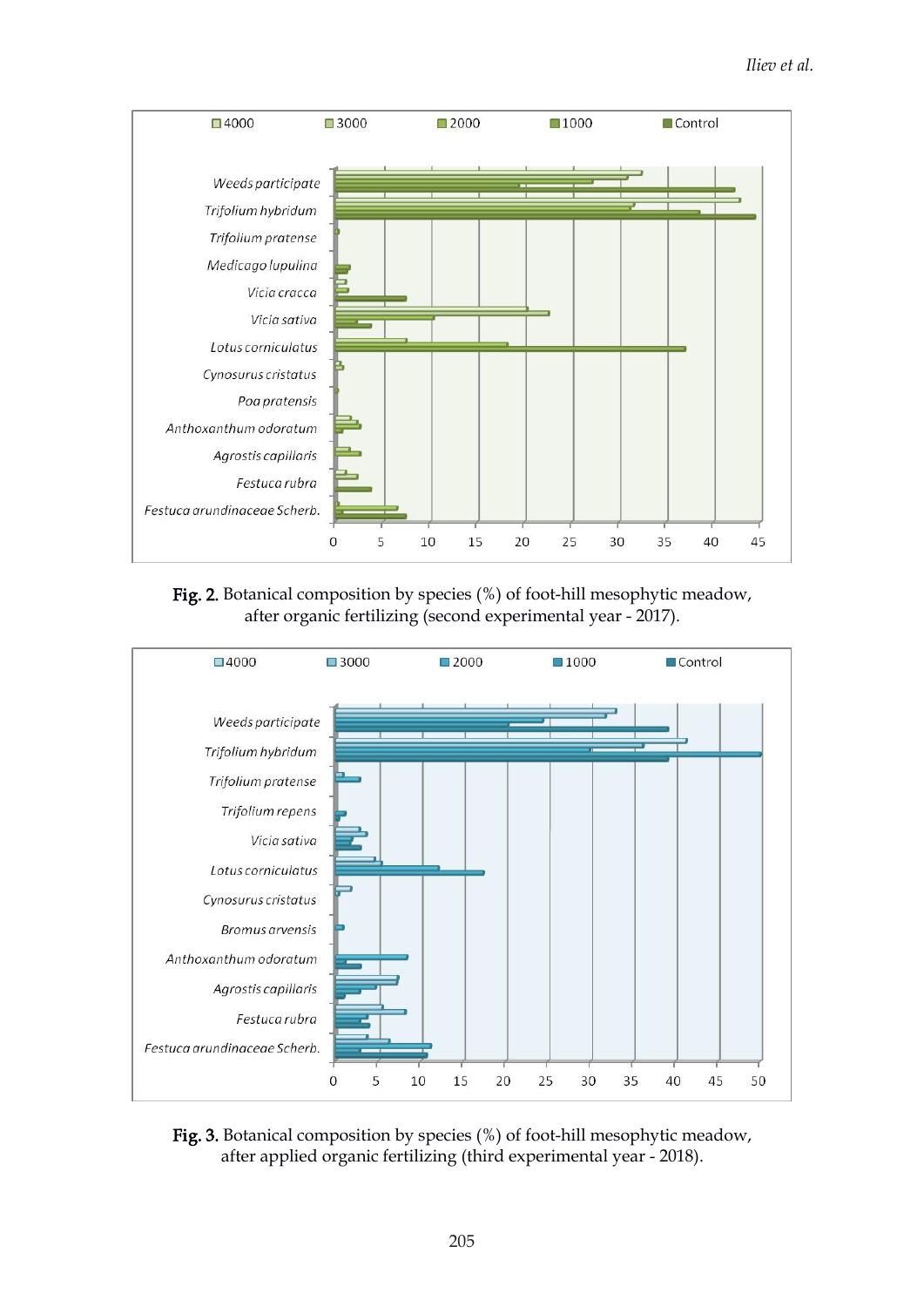

Fig. 2. Botanical composition by species (%) of foot-hill mesophytic meadow, after organic fertilizing (second experimental year - 2017).



Fig. 3. Botanical composition by species (%) of foot-hill mesophytic meadow, after applied organic fertilizing (third experimental year - 2018).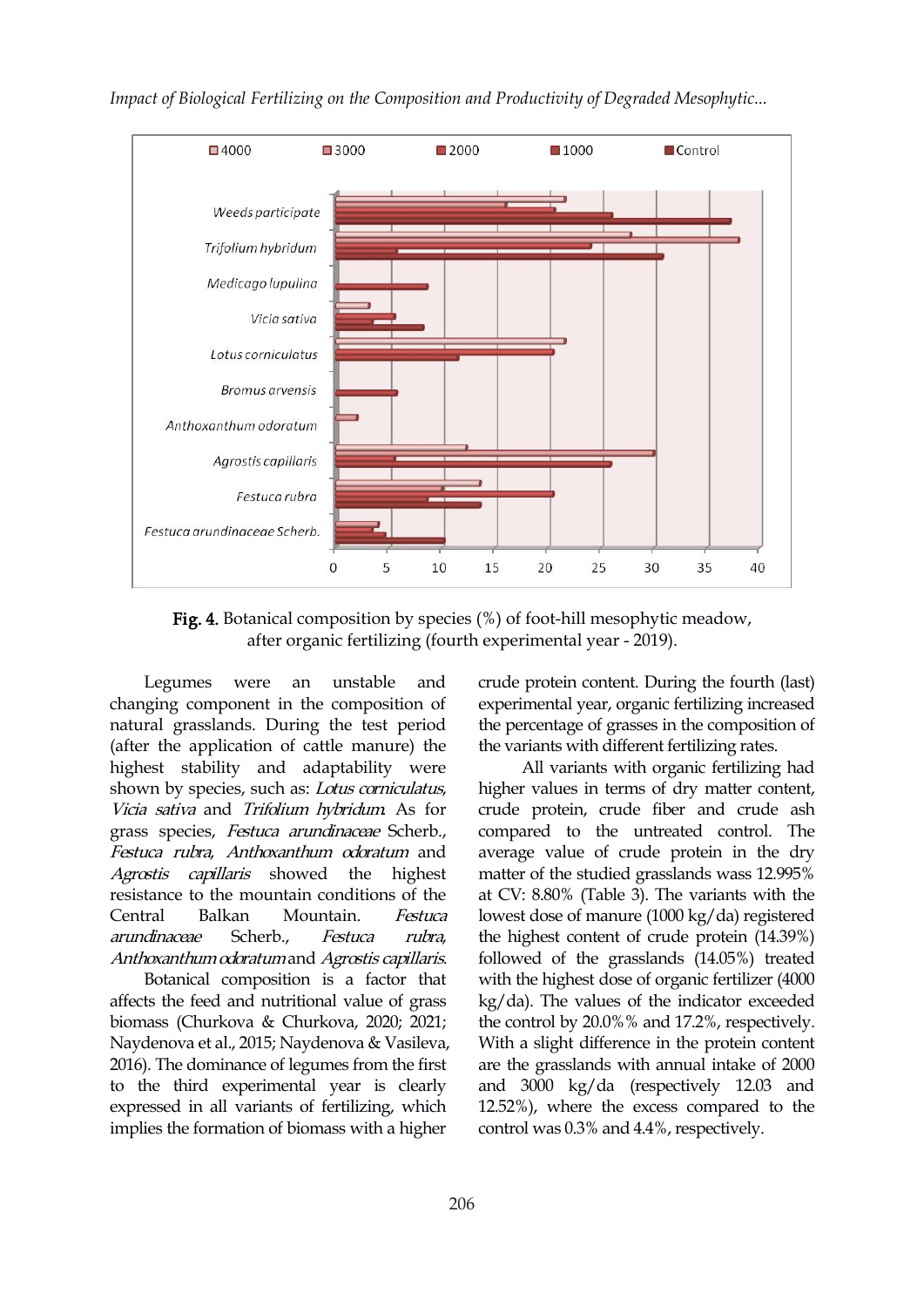



Fig. 4. Botanical composition by species  $(\%)$  of foot-hill mesophytic meadow, after organic fertilizing (fourth experimental year - 2019).

changing component in the composition of natural grasslands. During the test period (after the application of cattle manure) the highest stability and adaptability were shown by species, such as: Lotus corniculatus, Vicia sativa and Trifolium hybridum. As for grass species, Festuca arundinaceae Scherb., Festuca rubra, Anthoxanthum odoratum and Agrostis capillaris showed the highest resistance to the mountain conditions of the Central Balkan Mountain. *Festuca* lowest dose of manure (1000 kg/da) registered arundinaceae Scherb., Festuca rubra, Anthoxanthum odoratum and Agrostis capillaris.

Botanical composition is a factor that affects the feed and nutritional value of grass biomass (Churkova & Churkova, 2020; 2021; Naydenova et al.,2015; Naydenova & Vasileva, 2016). The dominance of legumes from the first to the third experimental year is clearly expressed in all variants of fertilizing, which implies the formation of biomass with a higher

Legumes were an unstable and crude protein content. During the fourth (last) experimental year, organic fertilizing increased the percentage of grasses in the composition of the variants with different fertilizing rates.

> All variants with organic fertilizing had higher values in terms of dry matter content, crude protein, crude fiber and crude ash compared to the untreated control. The average value of crude protein in the dry matter of the studied grasslands wass 12.995% at CV: 8.80% (Table 3). The variants with the the highest content of crude protein (14.39%) followed of the grasslands (14.05%) treated with the highest dose of organic fertilizer (4000) kg/da). The values of the indicator exceeded the control by 20.0%% and 17.2%, respectively. With a slight difference in the protein content are the grasslands with annual intake of 2000 and 3000 kg/da (respectively 12.03 and 12.52%), where the excess compared to the control was 0.3% and 4.4%, respectively.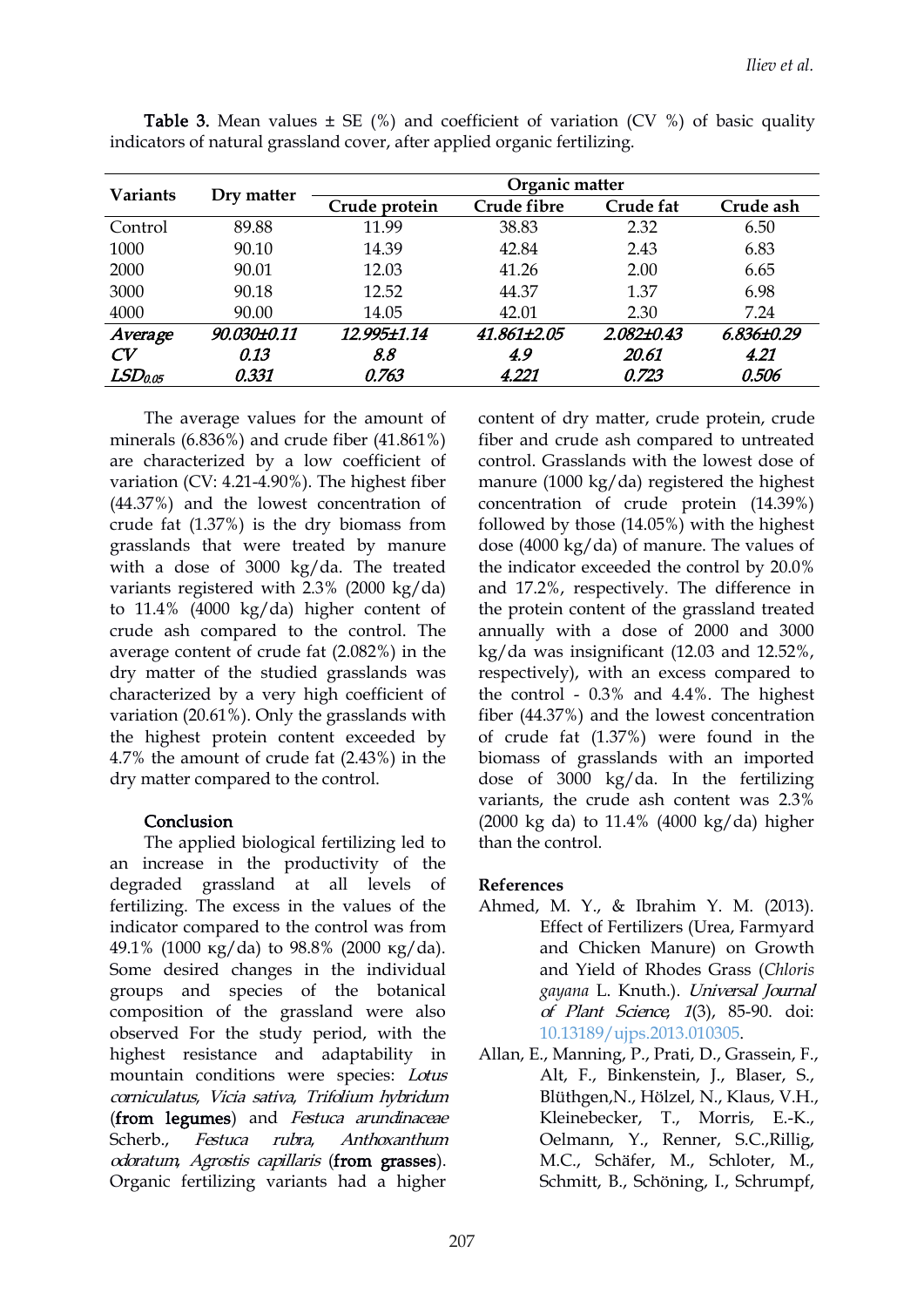| <b>Variants</b>     | Dry matter  | Organic matter |             |            |            |  |  |  |  |  |  |
|---------------------|-------------|----------------|-------------|------------|------------|--|--|--|--|--|--|
|                     |             | Crude protein  | Crude fibre | Crude fat  | Crude ash  |  |  |  |  |  |  |
| Control             | 89.88       | 11.99          | 38.83       | 2.32       | 6.50       |  |  |  |  |  |  |
| 1000                | 90.10       | 14.39          | 42.84       | 2.43       | 6.83       |  |  |  |  |  |  |
| 2000                | 90.01       | 12.03          | 41.26       | 2.00       | 6.65       |  |  |  |  |  |  |
| 3000                | 90.18       | 12.52          | 44.37       | 1.37       | 6.98       |  |  |  |  |  |  |
| 4000                | 90.00       | 14.05          | 42.01       | 2.30       | 7.24       |  |  |  |  |  |  |
| Average             | 90.030±0.11 | 12.995±1.14    | 41.861±2.05 | 2.082±0.43 | 6.836±0.29 |  |  |  |  |  |  |
| CV                  | 0.13        | 8.8            | 4.9         | 20.61      | 4.21       |  |  |  |  |  |  |
| LSD <sub>0.05</sub> | 0.331       | 0.763          | 4.221       | 0.723      | 0.506      |  |  |  |  |  |  |

**Table 3.** Mean values  $\pm$  SE (%) and coefficient of variation (CV %) of basic quality indicators of natural grassland cover, after applied organic fertilizing.

The average values for the amount of minerals (6.836%) and crude fiber (41.861%) are characterized by a low coefficient of variation (CV: 4.21-4.90%). The highest fiber  $(44.37%)$  and the lowest concentration of crude fat (1.37%) is the dry biomass from grasslands that were treated by manure with a dose of 3000 kg/da. The treated variants registered with 2.3% (2000 kg/da) to 11.4% (4000 kg/da) higher content of crude ash compared to the control. The average content of crude fat (2.082%) in the dry matter of the studied grasslands was characterized by a very high coefficient of variation (20.61%). Only the grasslands with the highest protein content exceeded by 4.7% the amount of crude fat (2.43%) in the dry matter compared to the control.

### Conclusion

The applied biological fertilizing led to an increase in the productivity of the degraded grassland at all levels of fertilizing. The excess in the values of the indicator compared to the control was from 49.1% (1000 кg/dа) to 98.8% (2000 кg/dа). Some desired changes in the individual groups and species of the botanical composition of the grassland were also observed For the study period, with the highest resistance and adaptability in mountain conditions were species: Lotus corniculatus, Vicia sativa, Trifolium hybridum (from legumes) and Festuca arundinaceae Scherb.*, Festuca rubra, Anthoxanthum* Oelmann, Y., Renner, S.C.,Rillig, odoratum, Agrostis capillaris (from grasses). Organic fertilizing variants had a higher

content of dry matter, crude protein, crude fiber and crude ash compared to untreated control. Grasslands with the lowest dose of manure (1000 kg/da) registered the highest concentration of crude protein (14.39%) followed by those (14.05%) with the highest dose (4000 kg/da) of manure. The values of the indicator exceeded the control by 20.0% and 17.2%, respectively. The difference in the protein content of the grassland treated annually with a dose of 2000 and 3000 kg/da was insignificant (12.03 and 12.52%, respectively), with an excess compared to the control - 0.3% and 4.4%. The highest fiber (44.37%) and the lowest concentration of crude fat (1.37%) were found in the biomass of grasslands with an imported dose of 3000 kg/da. In the fertilizing variants, the crude ash content was 2.3% (2000 kg da) to 11.4% (4000 kg/da) higher than the control.

## **References**

- Ahmed, M. Y., & Ibrahim Y. M. (2013). Effect of Fertilizers (Urea, Farmyard and Chicken Manure) on Growth and Yield of Rhodes Grass (*Chloris gayana* L. Knuth.). Universal Journal of Plant Science, 1(3), 85-90. doi: [10.13189/ujps.2013.010305.](https://doi.org/10.13189/ujps.2013.010305)
- Allan, E., Manning, P., Prati, D., Grassein, F., Alt, F., Binkenstein, J., Blaser, S., Blüthgen,N., Hölzel, N., Klaus, V.H., Kleinebecker, T., Morris, E.-K., M.C., Schäfer, M., Schloter, M., Schmitt, B., Schöning, I., Schrumpf,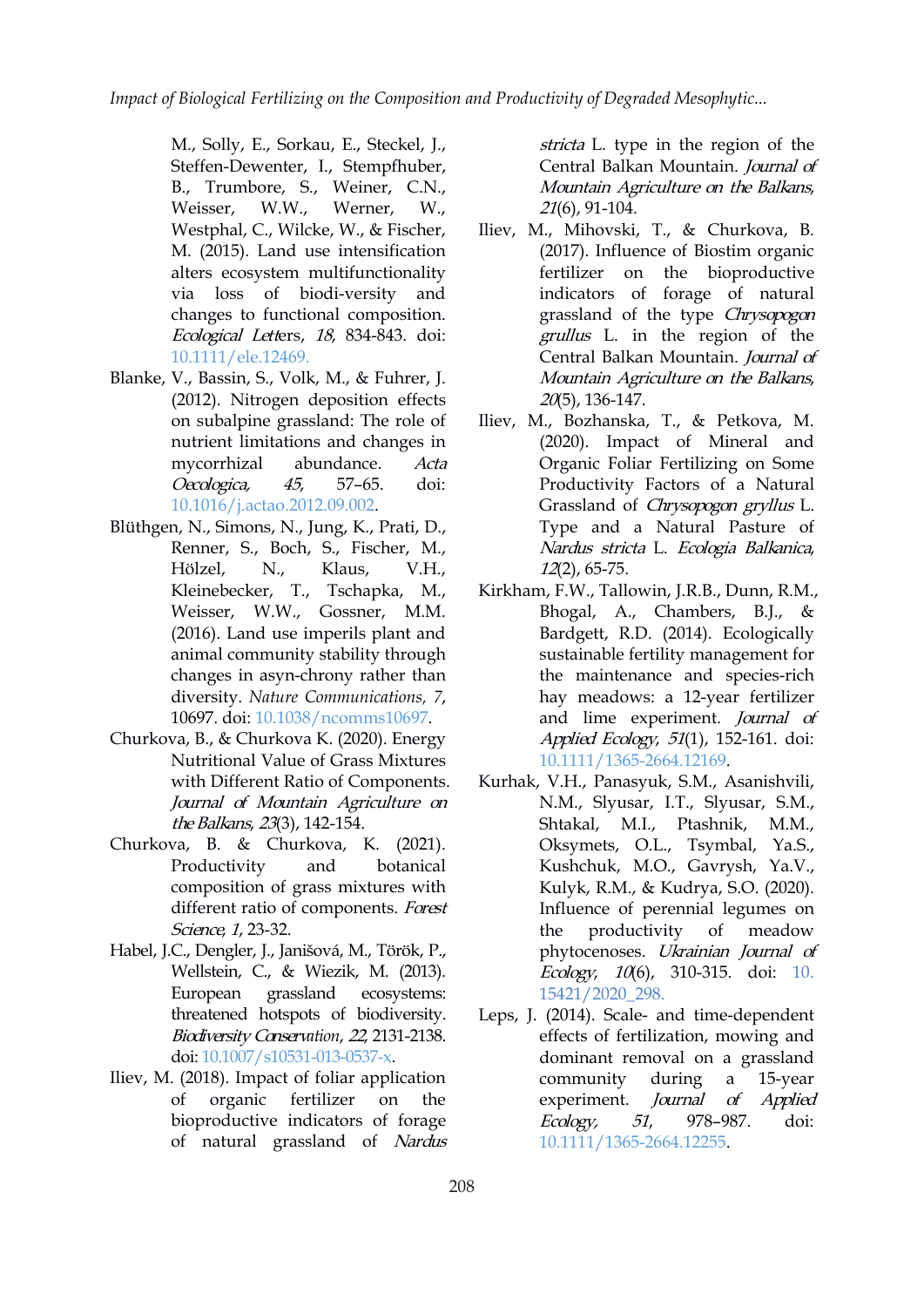*Impact of Biological Fertilizing on the Composition and Productivity of Degraded Mesophytic...*

M., Solly, E., Sorkau, E., Steckel, J., Steffen-Dewenter, I., Stempfhuber, B., Trumbore, S., Weiner, C.N., Weisser, W.W., Werner, W., Westphal, C., Wilcke, W., & Fischer, M. (2015). Land use intensification alters ecosystem multifunctionality via loss of biodi-versity and changes to functional composition. Ecological Letters, <sup>18</sup>, 834-843. doi: [10.1111/ele.12469.](https://doi.org/10.1111/ele.12469)

- Blanke, V., Bassin, S., Volk, M., & Fuhrer, J. (2012). Nitrogen deposition effects on subalpine grassland: The role of nutrient limitations and changes in mycorrhizal abundance. Acta Oecologica, <sup>45</sup>, 57–65. doi: [10.1016/j.actao.2012.09.002](https://doi.org/10.1016/j.actao.2012.09.002).
- Blüthgen, N., Simons, N., Jung, K., Prati, D., Renner, S., Boch, S., Fischer, M., Hölzel, N., Klaus, V.H., Kleinebecker, T., Tschapka, M., Weisser, W.W., Gossner, M.M. (2016). Land use imperils plant and animal community stability through changes in asyn-chrony rather than diversity. *Nature Communications, 7*, 10697. doi: [10.1038/ncomms10697.](https://doi.org/10.1038/ncomms10697)
- Churkova, B., & Churkova К. (2020). Energy Nutritional Value of Grass Mixtures with Different Ratio of Components. Journal of Mountain Agriculture on the Balkans, 23(3), 142-154.
- Churkova, B. & Churkova, К. (2021). Productivity and botanical composition of grass mixtures with different ratio of components. Forest Science, 1, 23-32.
- Habel, J.C., Dengler, J., Janišová, M., Török, P., Wellstein, C., & Wiezik, M. (2013). European grassland ecosystems: threatened hotspots of biodiversity. Biodiversity Conserv*ation*, <sup>22</sup>, 2131-2138. doi: [10.1007/s10531-013-0537-x](https://doi.org/10.1007/s10531-013-0537-x).
- Iliev, M. (2018). Impact of foliar application of organic fertilizer on the bioproductive indicators of forage Ecology, of natural grassland of Nardus

stricta L. type in the region of the Central Balkan Mountain. Journal of Mountain Agriculture on the Balkans, 21(6), 91-104.

- Iliev, M., Mihovski, T., & Churkova, B. (2017). Influence of Biostim organic fertilizer on the bioproductive indicators of forage of natural grassland of the type Chrysopogon grullus L. in the region of the Central Balkan Mountain. Journal of Mountain Agriculture on the Balkans, 20(5), 136-147.
- Iliev, M., Bozhanska, Т., & Petkova, M. (2020). Impact of Mineral and Organic Foliar Fertilizing on Some Productivity Factors of a Natural Grassland of Chrysopogon gryllus L. Type and a Natural Pasture of Nardus stricta L. Ecologia Balkanica, 12(2), 65-75.
- Kirkham, F.W., Tallowin, J.R.B., Dunn, R.M., Bhogal, A., Chambers, B.J., & Bardgett, R.D. (2014). Ecologically sustainable fertility management for the maintenance and species-rich hay meadows: a 12-year fertilizer and lime experiment. Journal of Applied Ecology, <sup>51</sup>(1), 152-161. doi: [10.1111/1365-2664.12169](https://doi.org/10.1111/1365-2664.12169).
- Kurhak, V.H., Panasyuk, S.M., Asanishvili, N.M., Slyusar, І.Т., Slyusar, S.M., Shtakal, M.І., Ptashnik, M.M., Oksymets, O.L., Tsymbal, Ya.S., Kushchuk, M.O., Gavrysh, Ya.V., Kulyk, R.M., & Kudrya, S.O. (2020). Influence of perennial legumes on the productivity of meadow phytocenoses. Ukrainian Journal of Ecology, <sup>10</sup>(6), 310-315. doi: [10.](https://doi.org/10. 15421/2020_298) 15421/2020\_298.
- Leps, J. (2014). Scale- and time-dependent effects of fertilization, mowing and dominant removal on a grassland community during a 15-year experiment. *Journal of Applied* 51, 978–987. doi: [10.1111/1365-2664.12255](https://doi.org/10.1111/1365-2664.12255).